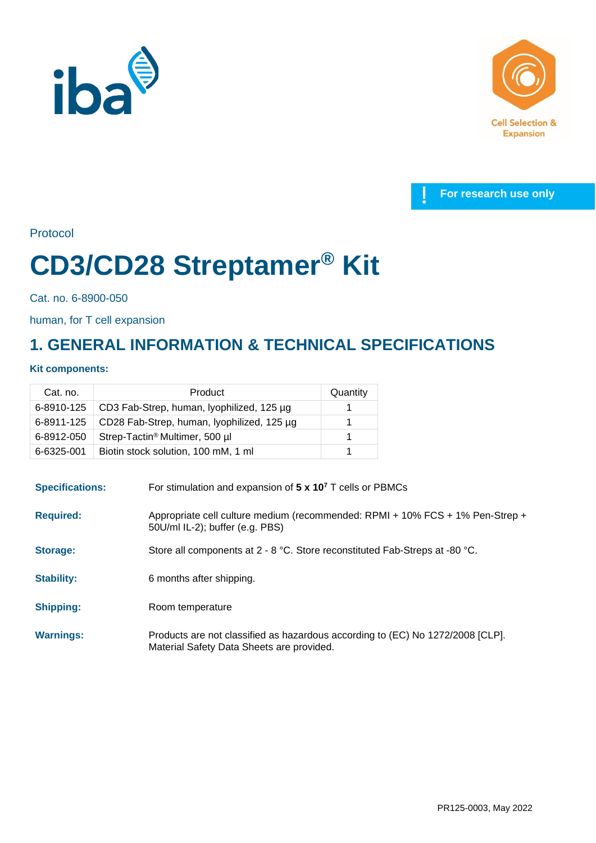





Protocol

# **CD3/CD28 Streptamer® Kit**

Cat. no. 6-8900-050

human, for T cell expansion

## **1. GENERAL INFORMATION & TECHNICAL SPECIFICATIONS**

### **Kit components:**

| Cat. no.   | Product                                    | Quantity |
|------------|--------------------------------------------|----------|
| 6-8910-125 | CD3 Fab-Strep, human, lyophilized, 125 µg  |          |
| 6-8911-125 | CD28 Fab-Strep, human, lyophilized, 125 µg |          |
| 6-8912-050 | Strep-Tactin <sup>®</sup> Multimer, 500 µl |          |
| 6-6325-001 | Biotin stock solution, 100 mM, 1 ml        |          |

| <b>Specifications:</b> | For stimulation and expansion of $5 \times 10^7$ T cells or PBMCs                                                           |  |
|------------------------|-----------------------------------------------------------------------------------------------------------------------------|--|
| <b>Required:</b>       | Appropriate cell culture medium (recommended: RPMI + 10% FCS + 1% Pen-Strep +<br>50U/ml IL-2); buffer (e.g. PBS)            |  |
| <b>Storage:</b>        | Store all components at 2 - 8 °C. Store reconstituted Fab-Streps at -80 °C.                                                 |  |
| <b>Stability:</b>      | 6 months after shipping.                                                                                                    |  |
| <b>Shipping:</b>       | Room temperature                                                                                                            |  |
| <b>Warnings:</b>       | Products are not classified as hazardous according to (EC) No 1272/2008 [CLP].<br>Material Safety Data Sheets are provided. |  |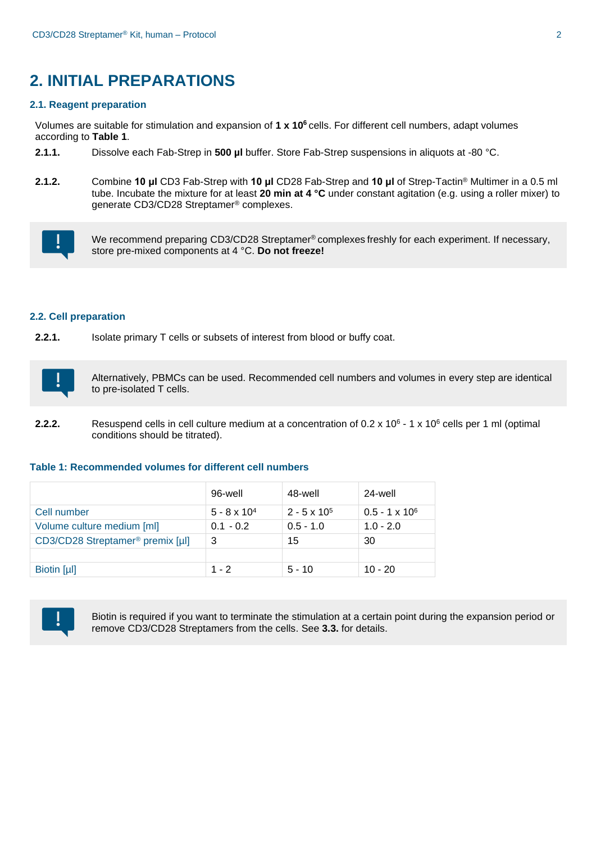## **2. INITIAL PREPARATIONS**

#### **2.1. Reagent preparation**

Volumes are suitable for stimulation and expansion of **1 x 10<sup>6</sup>** cells. For different cell numbers, adapt volumes according to **Table 1**.

- **2.1.1.** Dissolve each Fab-Strep in **500 µl** buffer. Store Fab-Strep suspensions in aliquots at -80 °C.
- **2.1.2.** Combine **10 μl** CD3 Fab-Strep with **10 μl** CD28 Fab-Strep and **10 μl** of Strep-Tactin® Multimer in a 0.5 ml tube. Incubate the mixture for at least **20 min at 4 °C** under constant agitation (e.g. using a roller mixer) to generate CD3/CD28 Streptamer® complexes.



We recommend preparing CD3/CD28 Streptamer<sup>®</sup> complexes freshly for each experiment. If necessary, store pre-mixed components at 4 °C. **Do not freeze!**

#### **2.2. Cell preparation**

**2.2.1.** Isolate primary T cells or subsets of interest from blood or buffy coat.



Alternatively, PBMCs can be used. Recommended cell numbers and volumes in every step are identical to pre-isolated T cells.

**2.2.2.** Resuspend cells in cell culture medium at a concentration of 0.2 x 10<sup>6</sup> - 1 x 10<sup>6</sup> cells per 1 ml (optimal conditions should be titrated).

#### **Table 1: Recommended volumes for different cell numbers**

|                                              | 96-well               | 48-well             | 24-well               |
|----------------------------------------------|-----------------------|---------------------|-----------------------|
| Cell number                                  | $5 - 8 \times 10^{4}$ | $2 - 5 \times 10^5$ | $0.5 - 1 \times 10^6$ |
| Volume culture medium [ml]                   | $0.1 - 0.2$           | $0.5 - 1.0$         | $1.0 - 2.0$           |
| CD3/CD28 Streptamer <sup>®</sup> premix [µl] | 3                     | 15                  | 30                    |
|                                              |                       |                     |                       |
| Biotin [µl]                                  | $1 - 2$               | $5 - 10$            | $10 - 20$             |



Biotin is required if you want to terminate the stimulation at a certain point during the expansion period or remove CD3/CD28 Streptamers from the cells. See **3.3.** for details.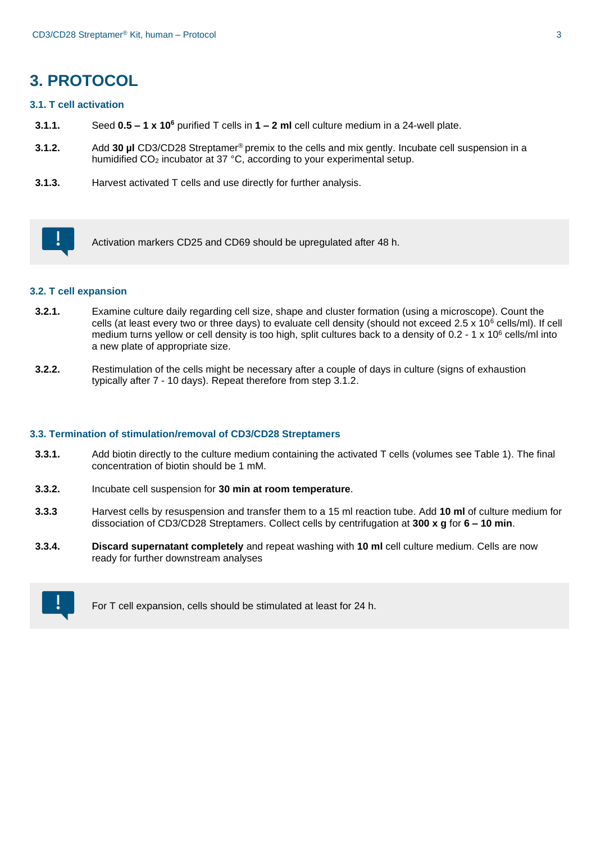## **3. PROTOCOL**

#### **3.1. T cell activation**

- **3.1.1.** Seed **0.5 – 1 x 10<sup>6</sup>** purified T cells in **1 – 2 ml** cell culture medium in a 24-well plate.
- **3.1.2.** Add **30 µl** CD3/CD28 Streptamer® premix to the cells and mix gently. Incubate cell suspension in a humidified CO<sub>2</sub> incubator at 37 °C, according to your experimental setup.
- **3.1.3.** Harvest activated T cells and use directly for further analysis.



Activation markers CD25 and CD69 should be upregulated after 48 h.

#### **3.2. T cell expansion**

- **3.2.1.** Examine culture daily regarding cell size, shape and cluster formation (using a microscope). Count the cells (at least every two or three days) to evaluate cell density (should not exceed 2.5 x 10 $^6$  cells/ml). If cell medium turns yellow or cell density is too high, split cultures back to a density of 0.2 - 1 x 10<sup>6</sup> cells/ml into a new plate of appropriate size.
- **3.2.2.** Restimulation of the cells might be necessary after a couple of days in culture (signs of exhaustion typically after 7 - 10 days). Repeat therefore from step 3.1.2.

#### **3.3. Termination of stimulation/removal of CD3/CD28 Streptamers**

- **3.3.1.** Add biotin directly to the culture medium containing the activated T cells (volumes see Table 1). The final concentration of biotin should be 1 mM.
- **3.3.2.** Incubate cell suspension for **30 min at room temperature**.
- **3.3.3** Harvest cells by resuspension and transfer them to a 15 ml reaction tube. Add **10 ml** of culture medium for dissociation of CD3/CD28 Streptamers. Collect cells by centrifugation at **300 x g** for **6 – 10 min**.
- **3.3.4. Discard supernatant completely** and repeat washing with **10 ml** cell culture medium. Cells are now ready for further downstream analyses



For T cell expansion, cells should be stimulated at least for 24 h.